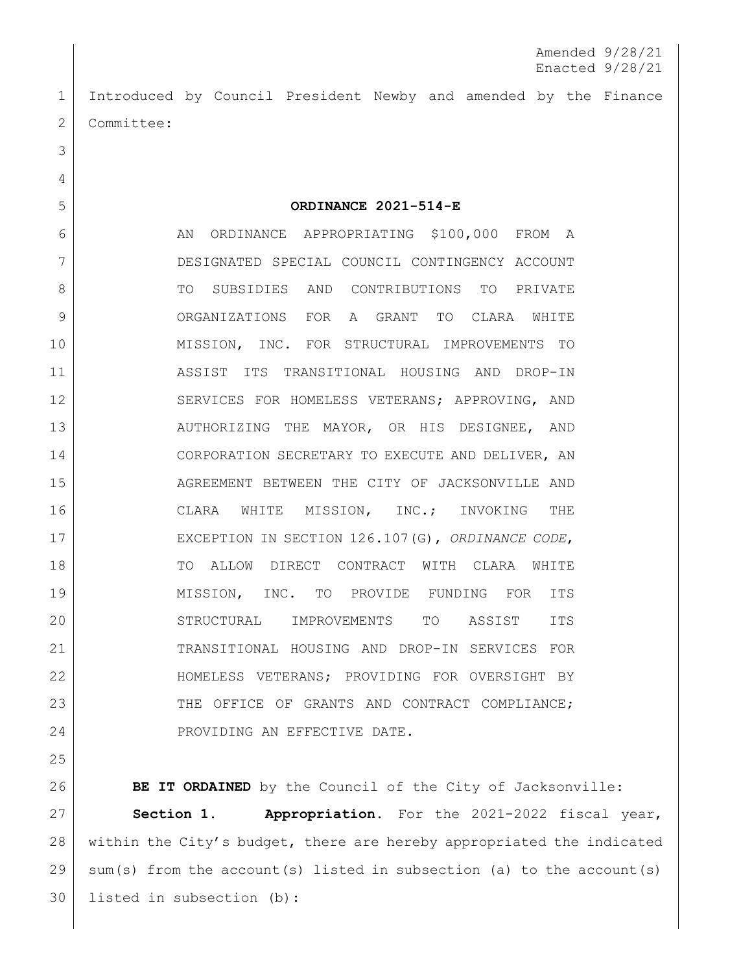Amended 9/28/21 Enacted 9/28/21

1 Introduced by Council President Newby and amended by the Finance 2 | Committee:

5 **ORDINANCE 2021-514-E**

6 AN ORDINANCE APPROPRIATING \$100,000 FROM A 7 DESIGNATED SPECIAL COUNCIL CONTINGENCY ACCOUNT 8 TO SUBSIDIES AND CONTRIBUTIONS TO PRIVATE 9 ORGANIZATIONS FOR A GRANT TO CLARA WHITE 10 MISSION, INC. FOR STRUCTURAL IMPROVEMENTS TO 11 ASSIST ITS TRANSITIONAL HOUSING AND DROP-IN 12 SERVICES FOR HOMELESS VETERANS; APPROVING, AND 13 AUTHORIZING THE MAYOR, OR HIS DESIGNEE, AND 14 CORPORATION SECRETARY TO EXECUTE AND DELIVER, AN 15 AGREEMENT BETWEEN THE CITY OF JACKSONVILLE AND 16 | CLARA WHITE MISSION, INC.; INVOKING THE 17 EXCEPTION IN SECTION 126.107(G), *ORDINANCE CODE*, 18 TO ALLOW DIRECT CONTRACT WITH CLARA WHITE 19 MISSION, INC. TO PROVIDE FUNDING FOR ITS 20 STRUCTURAL IMPROVEMENTS TO ASSIST ITS 21 TRANSITIONAL HOUSING AND DROP-IN SERVICES FOR 22 HOMELESS VETERANS; PROVIDING FOR OVERSIGHT BY 23 THE OFFICE OF GRANTS AND CONTRACT COMPLIANCE; 24 PROVIDING AN EFFECTIVE DATE.

25

3

4

**BE IT ORDAINED** by the Council of the City of Jacksonville: **Section 1. Appropriation.** For the 2021-2022 fiscal year, within the City's budget, there are hereby appropriated the indicated sum(s) from the account(s) listed in subsection (a) to the account(s) listed in subsection (b):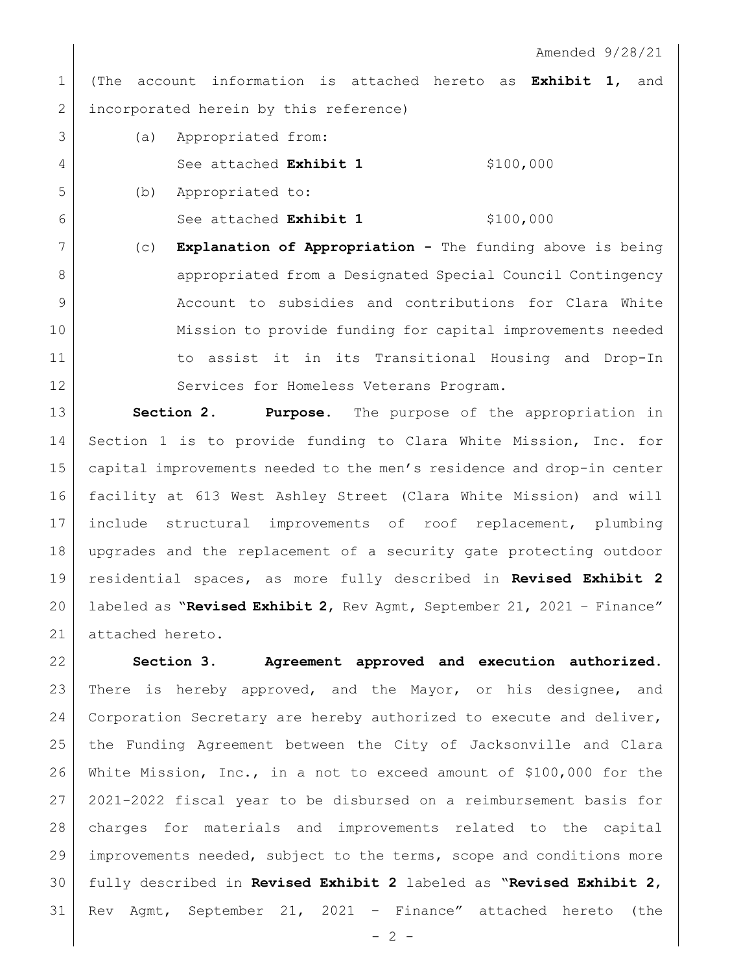Amended 9/28/21

 (The account information is attached hereto as **Exhibit 1**, and 2 incorporated herein by this reference)

- (a) Appropriated from: 4 See attached **Exhibit 1** \$100,000 (b) Appropriated to:
- See attached **Exhibit 1** \$100,000
- (c) **Explanation of Appropriation -** The funding above is being **appropriated from a Designated Special Council Contingency**  Account to subsidies and contributions for Clara White Mission to provide funding for capital improvements needed 11 1 to assist it in its Transitional Housing and Drop-In 12 Services for Homeless Veterans Program.

 **Section 2. Purpose.** The purpose of the appropriation in Section 1 is to provide funding to Clara White Mission, Inc. for capital improvements needed to the men's residence and drop-in center facility at 613 West Ashley Street (Clara White Mission) and will include structural improvements of roof replacement, plumbing upgrades and the replacement of a security gate protecting outdoor residential spaces, as more fully described in **Revised Exhibit 2** labeled as "**Revised Exhibit 2**, Rev Agmt, September 21, 2021 – Finance" 21 attached hereto.

 **Section 3. Agreement approved and execution authorized.** There is hereby approved, and the Mayor, or his designee, and Corporation Secretary are hereby authorized to execute and deliver, the Funding Agreement between the City of Jacksonville and Clara White Mission, Inc., in a not to exceed amount of \$100,000 for the 2021-2022 fiscal year to be disbursed on a reimbursement basis for charges for materials and improvements related to the capital improvements needed, subject to the terms, scope and conditions more fully described in **Revised Exhibit 2** labeled as "**Revised Exhibit 2**, Rev Agmt, September 21, 2021 – Finance" attached hereto (the

 $- 2 -$